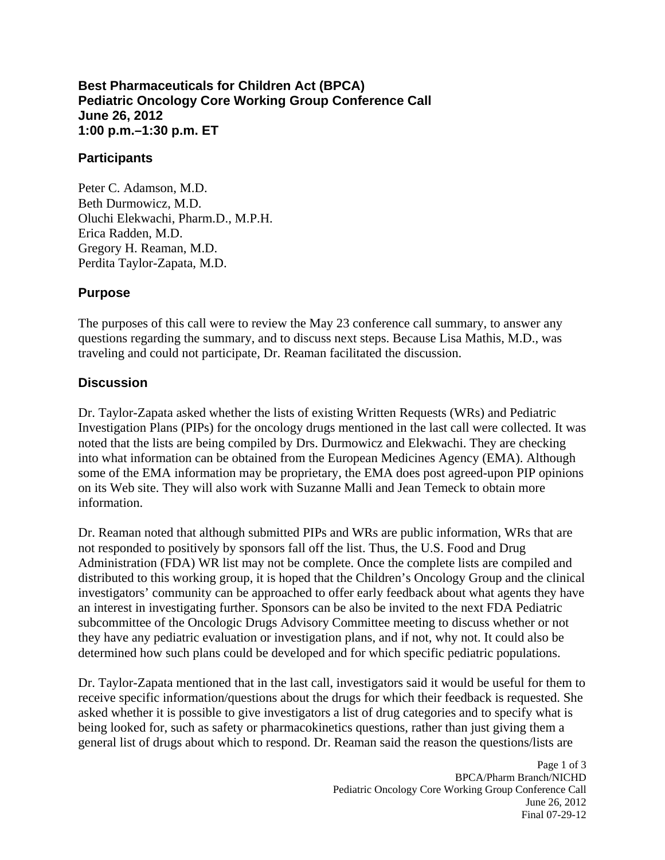#### **Best Pharmaceuticals for Children Act (BPCA) Pediatric Oncology Core Working Group Conference Call June 26, 2012 1:00 p.m.–1:30 p.m. ET**

#### **Participants**

Peter C. Adamson, M.D. Beth Durmowicz, M.D. Oluchi Elekwachi, Pharm.D., M.P.H. Erica Radden, M.D. Gregory H. Reaman, M.D. Perdita Taylor-Zapata, M.D.

### **Purpose**

The purposes of this call were to review the May 23 conference call summary, to answer any questions regarding the summary, and to discuss next steps. Because Lisa Mathis, M.D., was traveling and could not participate, Dr. Reaman facilitated the discussion.

## **Discussion**

Dr. Taylor-Zapata asked whether the lists of existing Written Requests (WRs) and Pediatric Investigation Plans (PIPs) for the oncology drugs mentioned in the last call were collected. It was noted that the lists are being compiled by Drs. Durmowicz and Elekwachi. They are checking into what information can be obtained from the European Medicines Agency (EMA). Although some of the EMA information may be proprietary, the EMA does post agreed-upon PIP opinions on its Web site. They will also work with Suzanne Malli and Jean Temeck to obtain more information.

Dr. Reaman noted that although submitted PIPs and WRs are public information, WRs that are not responded to positively by sponsors fall off the list. Thus, the U.S. Food and Drug Administration (FDA) WR list may not be complete. Once the complete lists are compiled and distributed to this working group, it is hoped that the Children's Oncology Group and the clinical investigators' community can be approached to offer early feedback about what agents they have an interest in investigating further. Sponsors can be also be invited to the next FDA Pediatric subcommittee of the Oncologic Drugs Advisory Committee meeting to discuss whether or not they have any pediatric evaluation or investigation plans, and if not, why not. It could also be determined how such plans could be developed and for which specific pediatric populations.

Dr. Taylor-Zapata mentioned that in the last call, investigators said it would be useful for them to receive specific information/questions about the drugs for which their feedback is requested. She asked whether it is possible to give investigators a list of drug categories and to specify what is being looked for, such as safety or pharmacokinetics questions, rather than just giving them a general list of drugs about which to respond. Dr. Reaman said the reason the questions/lists are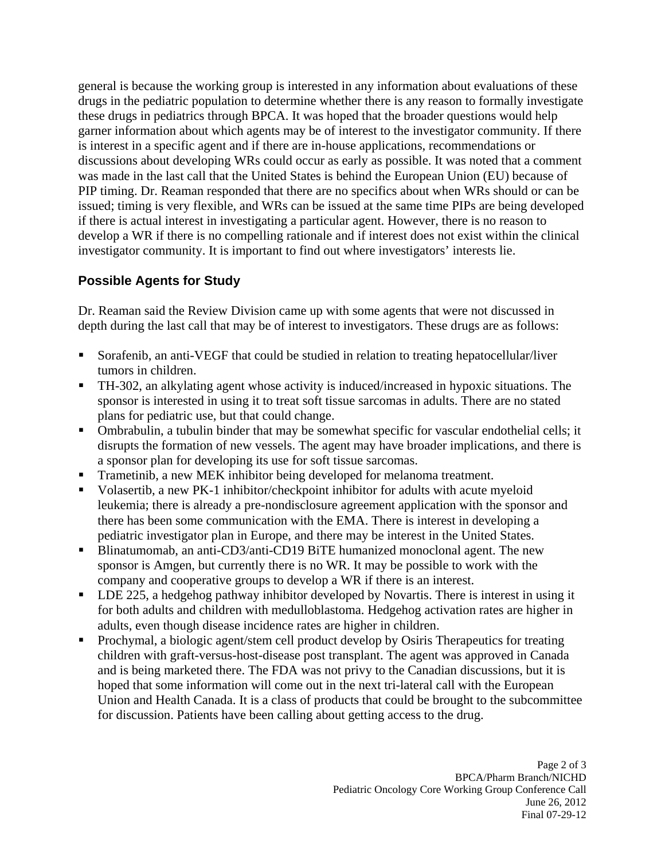general is because the working group is interested in any information about evaluations of these drugs in the pediatric population to determine whether there is any reason to formally investigate these drugs in pediatrics through BPCA. It was hoped that the broader questions would help garner information about which agents may be of interest to the investigator community. If there is interest in a specific agent and if there are in-house applications, recommendations or discussions about developing WRs could occur as early as possible. It was noted that a comment was made in the last call that the United States is behind the European Union (EU) because of PIP timing. Dr. Reaman responded that there are no specifics about when WRs should or can be issued; timing is very flexible, and WRs can be issued at the same time PIPs are being developed if there is actual interest in investigating a particular agent. However, there is no reason to develop a WR if there is no compelling rationale and if interest does not exist within the clinical investigator community. It is important to find out where investigators' interests lie.

# **Possible Agents for Study**

Dr. Reaman said the Review Division came up with some agents that were not discussed in depth during the last call that may be of interest to investigators. These drugs are as follows:

- Sorafenib, an anti-VEGF that could be studied in relation to treating hepatocellular/liver tumors in children.
- TH-302, an alkylating agent whose activity is induced/increased in hypoxic situations. The sponsor is interested in using it to treat soft tissue sarcomas in adults. There are no stated plans for pediatric use, but that could change.
- Ombrabulin, a tubulin binder that may be somewhat specific for vascular endothelial cells; it disrupts the formation of new vessels. The agent may have broader implications, and there is a sponsor plan for developing its use for soft tissue sarcomas.
- Trametinib, a new MEK inhibitor being developed for melanoma treatment.
- Volasertib, a new PK-1 inhibitor/checkpoint inhibitor for adults with acute myeloid leukemia; there is already a pre-nondisclosure agreement application with the sponsor and there has been some communication with the EMA. There is interest in developing a pediatric investigator plan in Europe, and there may be interest in the United States.
- Blinatumomab, an anti-CD3/anti-CD19 BiTE humanized monoclonal agent. The new sponsor is Amgen, but currently there is no WR. It may be possible to work with the company and cooperative groups to develop a WR if there is an interest.
- LDE 225, a hedgehog pathway inhibitor developed by Novartis. There is interest in using it for both adults and children with medulloblastoma. Hedgehog activation rates are higher in adults, even though disease incidence rates are higher in children.
- Prochymal, a biologic agent/stem cell product develop by Osiris Therapeutics for treating children with graft-versus-host-disease post transplant. The agent was approved in Canada and is being marketed there. The FDA was not privy to the Canadian discussions, but it is hoped that some information will come out in the next tri-lateral call with the European Union and Health Canada. It is a class of products that could be brought to the subcommittee for discussion. Patients have been calling about getting access to the drug.